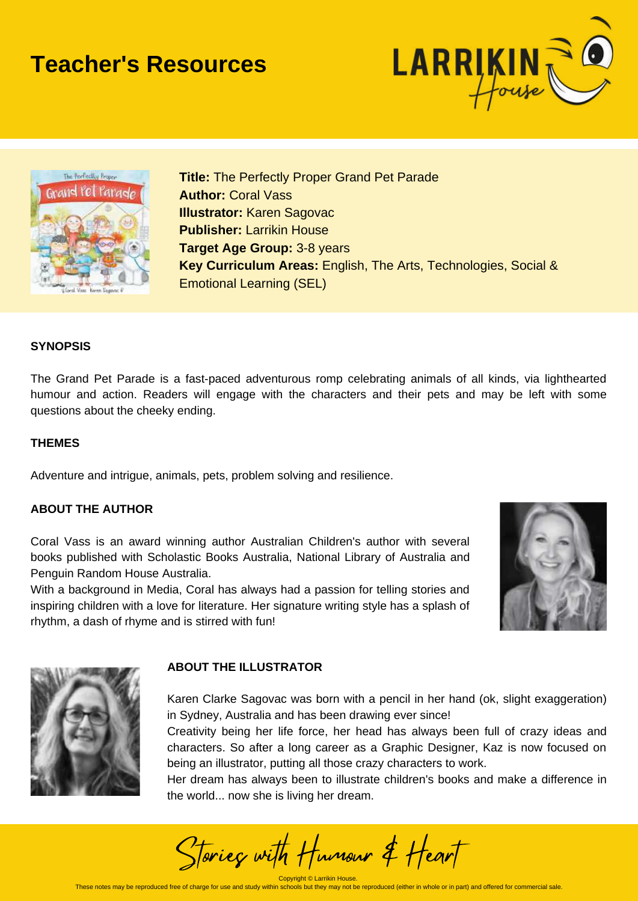## **Teacher's Resources**





**Title:** The Perfectly Proper Grand Pet Parade **Author:** Coral Vass **Illustrator:** Karen Sagovac **Publisher:** Larrikin House **Target Age Group:** 3-8 years **Key Curriculum Areas:** English, The Arts, Technologies, Social & Emotional Learning (SEL)

#### **SYNOPSIS**

The Grand Pet Parade is a fast-paced adventurous romp celebrating animals of all kinds, via lighthearted humour and action. Readers will engage with the characters and their pets and may be left with some questions about the cheeky ending.

#### **THEMES**

Adventure and intrigue, animals, pets, problem solving and resilience.

#### **ABOUT THE AUTHOR**

Coral Vass is an award winning author Australian Children's author with several books published with Scholastic Books Australia, National Library of Australia and Penguin Random House Australia.

With a background in Media, Coral has always had a passion for telling stories and inspiring children with a love for literature. Her signature writing style has a splash of rhythm, a dash of rhyme and is stirred with fun!





#### **ABOUT THE ILLUSTRATOR**

Karen Clarke Sagovac was born with a pencil in her hand (ok, slight exaggeration) in Sydney, Australia and has been drawing ever since!

Creativity being her life force, her head has always been full of crazy ideas and characters. So after a long career as a Graphic Designer, Kaz is now focused on being an illustrator, putting all those crazy characters to work.

Her dream has always been to illustrate children's books and make a difference in the world... now she is living her dream.

Stories with Humour & Heart

Convright © Larrikin House These notes may be reproduced free of charge for use and study within schools but they may not be reproduced (either in whole or in part) and offered for commercial sale.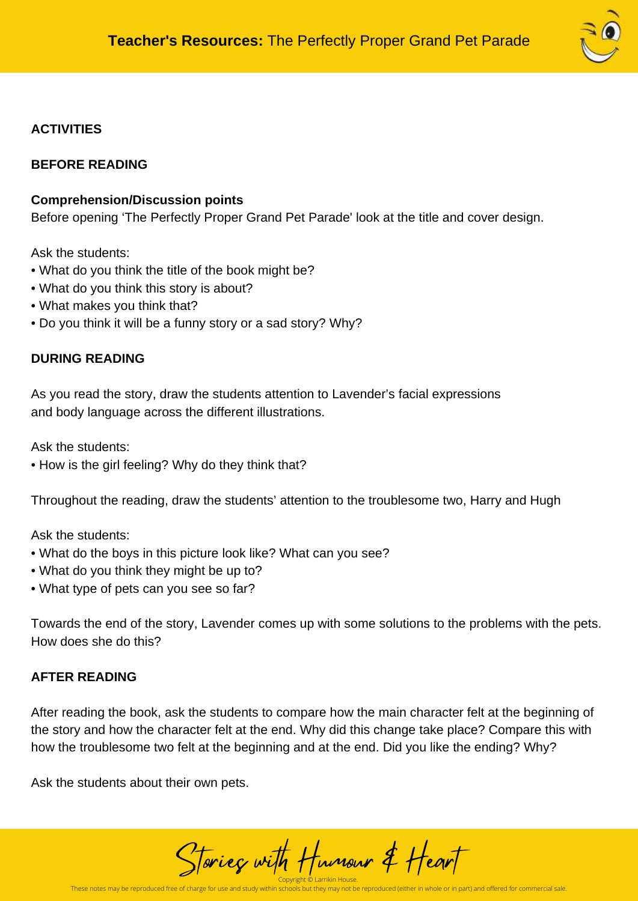

## **ACTIVITIES**

### **BEFORE READING**

### **Comprehension/Discussion points**

Before opening 'The Perfectly Proper Grand Pet Parade' look at the title and cover design.

Ask the students:

- What do you think the title of the book might be?
- What do you think this story is about?
- What makes you think that?
- Do you think it will be a funny story or a sad story? Why?

## **DURING READING**

As you read the story, draw the students attention to Lavender's facial expressions and body language across the different illustrations.

Ask the students:

• How is the girl feeling? Why do they think that?

Throughout the reading, draw the students' attention to the troublesome two, Harry and Hugh

Ask the students:

- What do the boys in this picture look like? What can you see?
- What do you think they might be up to?
- What type of pets can you see so far?

Towards the end of the story, Lavender comes up with some solutions to the problems with the pets. How does she do this?

#### **AFTER READING**

After reading the book, ask the students to compare how the main character felt at the beginning of the story and how the character felt at the end. Why did this change take place? Compare this with how the troublesome two felt at the beginning and at the end. Did you like the ending? Why?

Ask the students about their own pets.

Copyright © Larrikin House. Stories with Humour & Heart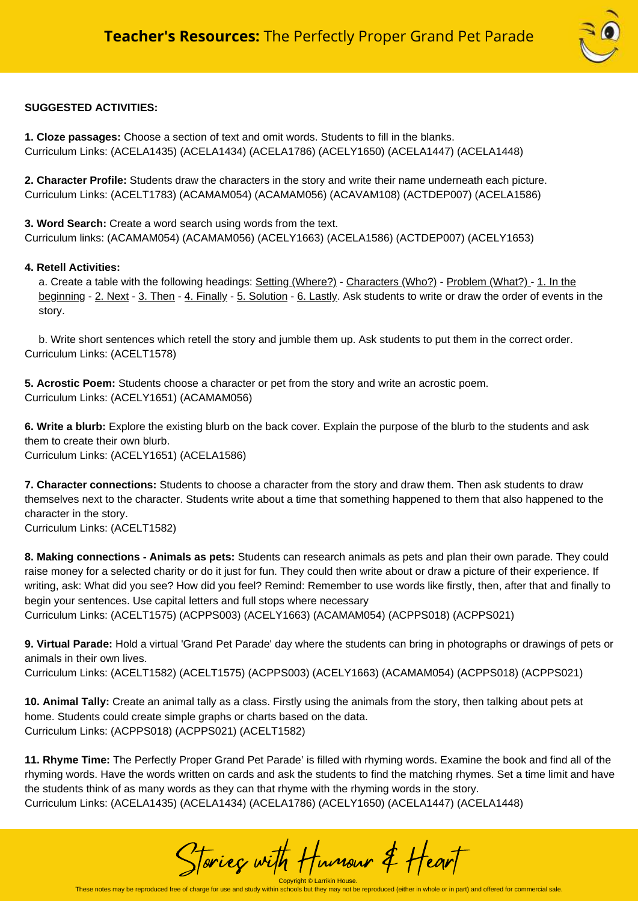

#### **SUGGESTED ACTIVITIES:**

**1. Cloze passages:** Choose a section of text and omit words. Students to fill in the blanks. Curriculum Links: (ACELA1435) (ACELA1434) (ACELA1786) (ACELY1650) (ACELA1447) (ACELA1448)

**2. Character Profile:** Students draw the characters in the story and write their name underneath each picture. Curriculum Links: (ACELT1783) (ACAMAM054) (ACAMAM056) (ACAVAM108) (ACTDEP007) (ACELA1586)

**3. Word Search:** Create a word search using words from the text. Curriculum links: (ACAMAM054) (ACAMAM056) (ACELY1663) (ACELA1586) (ACTDEP007) (ACELY1653)

#### **4. Retell Activities:**

a. Create a table with the following headings: Setting (Where?) - Characters (Who?) - Problem (What?) - 1. In the beginning - 2. Next - 3. Then - 4. Finally - 5. Solution - 6. Lastly. Ask students to write or draw the order of events in the story.

b. Write short sentences which retell the story and jumble them up. Ask students to put them in the correct order. Curriculum Links: (ACELT1578)

**5. Acrostic Poem:** Students choose a character or pet from the story and write an acrostic poem. Curriculum Links: (ACELY1651) (ACAMAM056)

**6. Write a blurb:** Explore the existing blurb on the back cover. Explain the purpose of the blurb to the students and ask them to create their own blurb. Curriculum Links: (ACELY1651) (ACELA1586)

**7. Character connections:** Students to choose a character from the story and draw them. Then ask students to draw themselves next to the character. Students write about a time that something happened to them that also happened to the character in the story.

Curriculum Links: (ACELT1582)

**8. Making connections - Animals as pets:** Students can research animals as pets and plan their own parade. They could raise money for a selected charity or do it just for fun. They could then write about or draw a picture of their experience. If writing, ask: What did you see? How did you feel? Remind: Remember to use words like firstly, then, after that and finally to begin your sentences. Use capital letters and full stops where necessary Curriculum Links: (ACELT1575) (ACPPS003) (ACELY1663) (ACAMAM054) (ACPPS018) (ACPPS021)

**9. Virtual Parade:** Hold a virtual 'Grand Pet Parade' day where the students can bring in photographs or drawings of pets or animals in their own lives.

Curriculum Links: (ACELT1582) (ACELT1575) (ACPPS003) (ACELY1663) (ACAMAM054) (ACPPS018) (ACPPS021)

**10. Animal Tally:** Create an animal tally as a class. Firstly using the animals from the story, then talking about pets at home. Students could create simple graphs or charts based on the data. Curriculum Links: (ACPPS018) (ACPPS021) (ACELT1582)

**11. Rhyme Time:** The Perfectly Proper Grand Pet Parade' is filled with rhyming words. Examine the book and find all of the rhyming words. Have the words written on cards and ask the students to find the matching rhymes. Set a time limit and have the students think of as many words as they can that rhyme with the rhyming words in the story. Curriculum Links: (ACELA1435) (ACELA1434) (ACELA1786) (ACELY1650) (ACELA1447) (ACELA1448)

Stories with Humour & Heart

Copyright © Larrikin House.<br>These notes may be reproduced free of charge for use and study within schools but they may not be reproduced (either in whole or in part) and offered for commercial sale.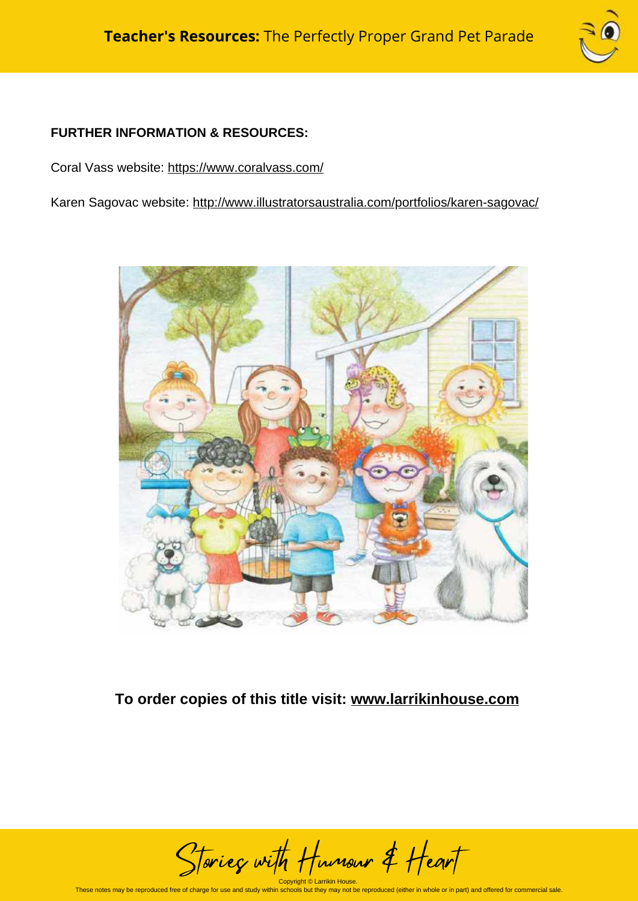

## **FURTHER INFORMATION & RESOURCES:**

Coral Vass website: <https://www.coralvass.com/>

Karen Sagovac website: <http://www.illustratorsaustralia.com/portfolios/karen-sagovac/>



## **To order copies of this title visit: [www.larrikinhouse.com](http://www.larrikinhouse.com/)**

Copyright © Larrikin House. Stories with Humour & Heart

These notes may be reproduced free of charge for use and study within schools but they may not be reproduced (either in whole or in part) and offered for commercial sale.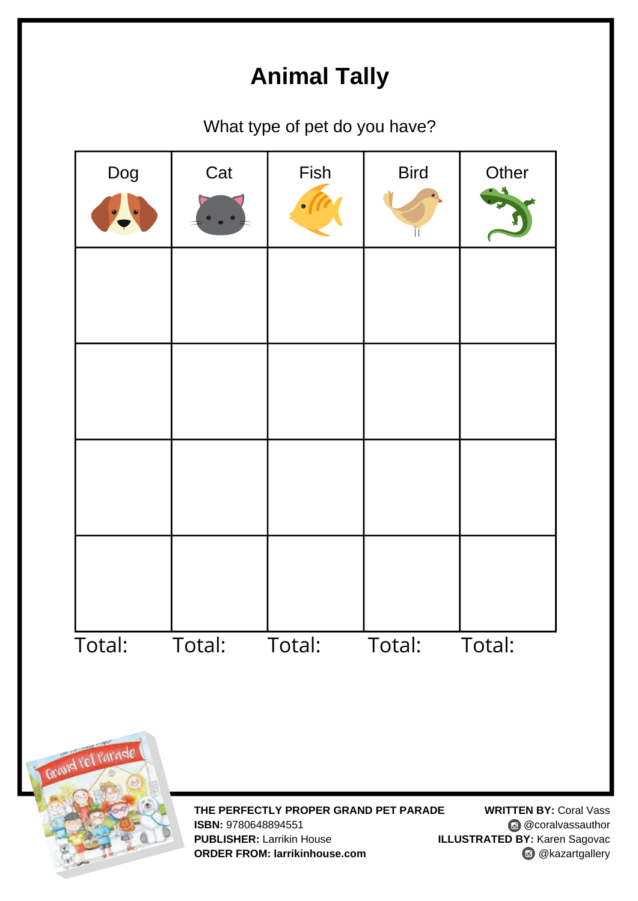## **Animal Tally**

What type of pet do you have?



**THE PERFECTLY PROPER GRAND PET PARADE ISBN:** 9780648894551 **PUBLISHER:** Larrikin House **ORDER FROM: larrikinhouse.com**

**WRITTEN BY:** Coral Vass **@** @coralvassauthor **ILLUSTRATED BY:** Karen Sagovac **@** @kazartgallery